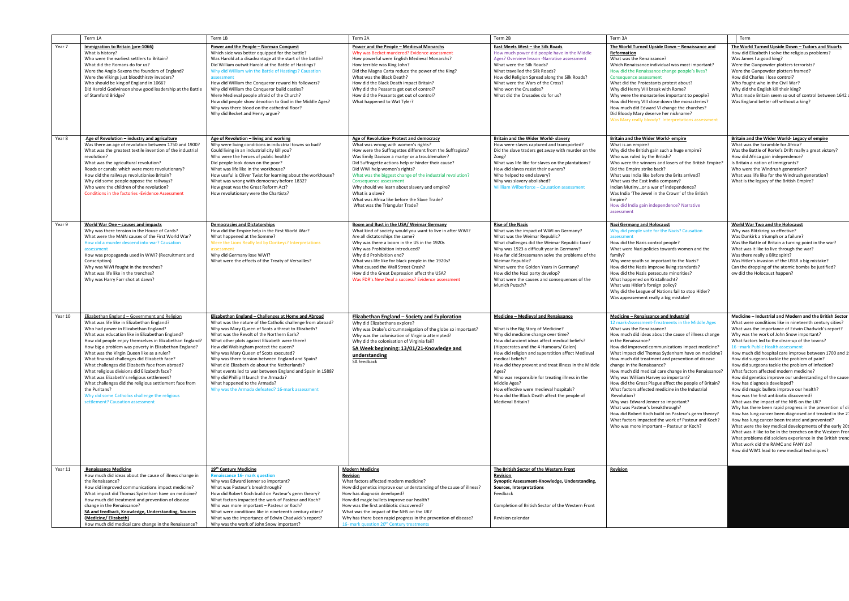|         | Term 1A                                                                                                                                                                                                                                                                                                                                                                                                                                                                                                                                                                                                                                                                                                                      | Term 1B                                                                                                                                                                                                                                                                                                                                                                                                                                                                                                                                                                                                                                                | Term 2A                                                                                                                                                                                                                                                                                                                                                                                                                                                                                                                            | Term 2B                                                                                                                                                                                                                                                                                                                                                                                                                                                                                                                                | Term 3A                                                                                                                                                                                                                                                                                                                                                                                                                                                                                                                                                                                                                                                                                                                                                                                                                                                             | Term                                                                                                                                                                                                                                                                                                                                                                                                                                                                                                                                                                                                                                                                                                                                                                                                                                                                                                                                                                                                                                                                                                                                                                                                          |
|---------|------------------------------------------------------------------------------------------------------------------------------------------------------------------------------------------------------------------------------------------------------------------------------------------------------------------------------------------------------------------------------------------------------------------------------------------------------------------------------------------------------------------------------------------------------------------------------------------------------------------------------------------------------------------------------------------------------------------------------|--------------------------------------------------------------------------------------------------------------------------------------------------------------------------------------------------------------------------------------------------------------------------------------------------------------------------------------------------------------------------------------------------------------------------------------------------------------------------------------------------------------------------------------------------------------------------------------------------------------------------------------------------------|------------------------------------------------------------------------------------------------------------------------------------------------------------------------------------------------------------------------------------------------------------------------------------------------------------------------------------------------------------------------------------------------------------------------------------------------------------------------------------------------------------------------------------|----------------------------------------------------------------------------------------------------------------------------------------------------------------------------------------------------------------------------------------------------------------------------------------------------------------------------------------------------------------------------------------------------------------------------------------------------------------------------------------------------------------------------------------|---------------------------------------------------------------------------------------------------------------------------------------------------------------------------------------------------------------------------------------------------------------------------------------------------------------------------------------------------------------------------------------------------------------------------------------------------------------------------------------------------------------------------------------------------------------------------------------------------------------------------------------------------------------------------------------------------------------------------------------------------------------------------------------------------------------------------------------------------------------------|---------------------------------------------------------------------------------------------------------------------------------------------------------------------------------------------------------------------------------------------------------------------------------------------------------------------------------------------------------------------------------------------------------------------------------------------------------------------------------------------------------------------------------------------------------------------------------------------------------------------------------------------------------------------------------------------------------------------------------------------------------------------------------------------------------------------------------------------------------------------------------------------------------------------------------------------------------------------------------------------------------------------------------------------------------------------------------------------------------------------------------------------------------------------------------------------------------------|
| Year 7  | Immigration to Britain (pre-1066)<br>What is history?<br>Who were the earliest settlers to Britain?<br>What did the Romans do for us?<br>Were the Anglo-Saxons the founders of England?<br>Were the Vikings just bloodthirsty invaders?<br>Who should be king of England in 1066?<br>Did Harold Godwinson show good leadership at the Battle<br>of Stamford Bridge?                                                                                                                                                                                                                                                                                                                                                          | Power and the People - Norman Conquest<br>Which side was better equipped for the battle?<br>Was Harold at a disadvantage at the start of the battle?<br>Did William outwit Harold at the Battle of Hastings?<br>Why did William win the Battle of Hastings? Causation<br>assessment<br>How did William the Conqueror reward his followers?<br>Why did William the Conqueror build castles?<br>Were Medieval people afraid of the Church?<br>How did people show devotion to God in the Middle Ages?<br>Why was there blood on the cathedral floor?<br>Why did Becket and Henry argue?                                                                  | Power and the People - Medieval Monarchs<br>Why was Becket murdered? Evidence assessment<br>How powerful were English Medieval Monarchs?<br>How terrible was King John?<br>Did the Magna Carta reduce the power of the King?<br>What was the Black Death?<br>How did the Black Death impact Britain?<br>Why did the Peasants get out of control?<br>How did the Peasants get out of control?<br>What happened to Wat Tyler?                                                                                                        | East Meets West - the Silk Roads<br>How much power did people have in the Middle<br>Ages? Overview lesson -Narrative assessment<br>What were the Silk Roads?<br>What travelled the Silk Roads?<br>How did Religion Spread along the Silk Roads?<br>What were the Wars of the Cross?<br>Who won the Crusades?<br>What did the Crusades do for us?                                                                                                                                                                                       | The World Turned Upside Down - Renaissance and<br>Reformation<br>What was the Renaissance?<br>Which Renaissance individual was most important?<br>How did the Renaissance change people's lives?<br>Consequence assessment<br>What did the Protestants protest about?<br>Why did Henry VIII break with Rome?<br>Why were the monasteries important to people?<br>How did Henry VIII close down the monasteries?<br>How much did Edward VI change the churches?<br>Did Bloody Mary deserve her nickname?<br>Was Mary really bloody? Interpretations assessment                                                                                                                                                                                                                                                                                                       | The World Turned Upside Down - Tudors and Stuarts<br>How did Elizabeth I solve the religious problems?<br>Was James I a good king?<br>Were the Gunpowder plotters terrorists?<br>Were the Gunpowder plotters framed?<br>How did Charles I lose control?<br>Who fought who in the Civil War?<br>Why did the English kill their king?<br>What made Britain seem so out of control between 1642 a<br>Was England better off without a king?                                                                                                                                                                                                                                                                                                                                                                                                                                                                                                                                                                                                                                                                                                                                                                      |
| Year 8  | Age of Revolution - industry and agriculture<br>Was there an age of revolution between 1750 and 1900?<br>What was the greatest textile invention of the industrial<br>revolution?<br>What was the agricultural revolution?<br>Roads or canals: which were more revolutionary?<br>How did the railways revolutionise Britain?<br>Why did some people oppose the railways?<br>Who were the children of the revolution?<br><b>Conditions in the factories - Evidence Assessment</b>                                                                                                                                                                                                                                             | Age of Revolution - living and working<br>Why were living conditions in industrial towns so bad?<br>Could living in an industrial city kill you?<br>Who were the heroes of public health?<br>Did people look down on the poor?<br>What was life like in the workhouse?<br>How useful is Oliver Twist for learning about the workhouse?<br>What was wrong with democracy before 1832?<br>How great was the Great Reform Act?<br>How revolutionary were the Chartists?                                                                                                                                                                                   | Age of Revolution- Protest and democracy<br>What was wrong with women's rights?<br>How were the Suffragettes different from the Suffragists?<br>Was Emily Davison a martyr or a troublemaker?<br>Did Suffragette actions help or hinder their cause?<br>Did WWI help women's rights?<br>What was the biggest change of the industrial revolution?<br>Consequence assessment<br>Why should we learn about slavery and empire?<br>What is a slave?<br>What was Africa like before the Slave Trade?<br>What was the Triangular Trade? | Britain and the Wider World- slavery<br>How were slaves captured and transported?<br>Did the slave traders get away with murder on the<br>Zong?<br>What was life like for slaves on the plantations?<br>How did slaves resist their owners?<br>Who helped to end slavery?<br>Why was slavery abolished?<br>William Wilberforce - Causation assessment                                                                                                                                                                                  | Britain and the Wider World-empire<br>What is an empire?<br>Why did the British gain such a huge empire?<br>Who was ruled by the British?<br>Who were the winners and losers of the British Empire?<br>Did the Empire strike back?<br>What was India like before the Brits arrived?<br>What was the East India company?<br>Indian Mutinyor a war of independence?<br>Was India 'The Jewel in the Crown' of the British<br>Empire?<br>How did India gain independence? Narrative<br>assessment                                                                                                                                                                                                                                                                                                                                                                       | Britain and the Wider World- Legacy of empire<br>What was the Scramble for Africa?<br>Was the Battle of Rorke's Drift really a great victory?<br>How did Africa gain independence?<br>Is Britain a nation of immigrants?<br>Who were the Windrush generation?<br>What was life like for the Windrush generation?<br>What is the legacy of the British Empire?                                                                                                                                                                                                                                                                                                                                                                                                                                                                                                                                                                                                                                                                                                                                                                                                                                                 |
| Year 9  | World War One - causes and impacts<br>Why was there tension in the House of Cards?<br>What were the MAIN causes of the First World War?<br>How did a murder descend into war? Causation<br>assessment<br>How was propaganda used in WWI? (Recruitment and<br>Conscription)<br>Why was WWI fought in the trenches?<br>What was life like in the trenches?<br>Why was Harry Farr shot at dawn?                                                                                                                                                                                                                                                                                                                                 | <b>Democracies and Dictatorships</b><br>How did the Empire help in the First World War?<br>What happened at the Somme?<br>Were the Lions Really led by Donkeys? Interpretations<br>assessment<br>Why did Germany lose WWI?<br>What were the effects of the Treaty of Versailles?                                                                                                                                                                                                                                                                                                                                                                       | Boom and Bust in the USA/ Weimar Germany<br>What kind of society would you want to live in after WWI?<br>Are all dictatorships the same?<br>Why was there a boom in the US in the 1920s<br>Why was Prohibition introduced?<br>Why did Prohibition end?<br>What was life like for black people in the 1920s?<br>What caused the Wall Street Crash?<br>How did the Great Depression affect the USA?<br>Was FDR's New Deal a success? Evidence assessment                                                                             | <b>Rise of the Nazis</b><br>What was the impact of WWI on Germany?<br>What was the Weimar Republic?<br>What challenges did the Weimar Republic face?<br>Why was 1923 a difficult year in Germany?<br>How far did Stresemann solve the problems of the<br>Weimar Republic?<br>What were the Golden Years in Germany?<br>How did the Nazi party develop?<br>What were the causes and consequences of the<br>Munich Putsch?                                                                                                               | <b>Nazi Germany and Holocaust</b><br>Why did people vote for the Nazis? Causation<br>assessment<br>How did the Nazis control people?<br>What were Nazi policies towards women and the<br>family?<br>Why were youth so important to the Nazis?<br>How did the Nazis improve living standards?<br>How did the Nazis persecute minorities?<br>What happened on Kristallnacht?<br>What was Hitler's foreign policy?<br>Why did the League of Nations fail to stop Hitler?<br>Was appeasement really a big mistake?                                                                                                                                                                                                                                                                                                                                                      | <b>World War Two and the Holocaust</b><br>Why was Blitzkrieg so effective?<br>Was Dunkirk a triumph or a failure?<br>Was the Battle of Britain a turning point in the war?<br>What was it like to live through the war?<br>Was there really a Blitz spirit?<br>Was Hitler's invasion of the USSR a big mistake?<br>Can the dropping of the atomic bombs be justified?<br>ow did the Holocaust happen?                                                                                                                                                                                                                                                                                                                                                                                                                                                                                                                                                                                                                                                                                                                                                                                                         |
| Year 10 | Elizabethan England - Government and Religion<br>What was life like in Elizabethan England?<br>Who had power in Elizabethan England?<br>What was education like in Elizabethan England?<br>How did people enjoy themselves in Elizabethan England?<br>How big a problem was poverty in Elizabethan England?<br>What was the Virgin Queen like as a ruler?<br>What financial challenges did Elizabeth face?<br>What challenges did Elizabeth face from abroad?<br>What religious divisions did Elizabeth face?<br>What was Elizabeth's religious settlement?<br>What challenges did the religious settlement face from<br>the Puritans?<br>Why did some Catholics challenge the religious<br>settlement? Causation assessment | Elizabethan England - Challenges at Home and Abroad<br>What was the nature of the Catholic challenge from abroad?<br>Why was Mary Queen of Scots a threat to Elizabeth?<br>What was the Revolt of the Northern Earls?<br>What other plots against Elizabeth were there?<br>How did Walsingham protect the queen?<br>Why was Mary Queen of Scots executed?<br>Why was there tension between England and Spain?<br>What did Elizabeth do about the Netherlands?<br>What events led to war between England and Spain in 1588?<br>Why did Phillip II launch the Armada?<br>What happened to the Armada?<br>Why was the Armada defeated? 16-mark assessment | Elizabethan England - Society and Exploration<br>Why did Elizabethans explore?<br>Why was Drake's circumnavigation of the globe so important?<br>Why was the colonisation of Virginia attempted?<br>Why did the colonisation of Virginia fail?<br>SA Week beginning: 13/01/21-Knowledge and<br>understanding<br>SA feedback                                                                                                                                                                                                        | Medicine - Medieval and Renaissance<br>What is the Big Story of Medicine?<br>Why did medicine change over time?<br>How did ancient ideas affect medical beliefs?<br>(Hippocrates and the 4 Humours/ Galen)<br>How did religion and superstition affect Medieval<br>medical beliefs?<br>How did they prevent and treat illness in the Middle<br>Ages?<br>Who was responsible for treating illness in the<br>Middle Ages?<br>How effective were medieval hospitals?<br>How did the Black Death affect the people of<br>Medieval Britain? | Medicine - Renaissance and Industrial<br>12 mark-Assessment-Treatments in the Middle Ages<br>What was the Renaissance?<br>How much did ideas about the cause of illness change<br>in the Renaissance?<br>How did improved communications impact medicine?<br>What impact did Thomas Sydenham have on medicine?<br>How much did treatment and prevention of disease<br>change in the Renaissance?<br>How much did medical care change in the Renaissance?<br>Why was William Harvey so important?<br>How did the Great Plague affect the people of Britain?<br>What factors affected medicine in the Industrial<br>Revolution?<br>Why was Edward Jenner so important?<br>What was Pasteur's breakthrough?<br>How did Robert Koch build on Pasteur's germ theory?<br>What factors impacted the work of Pasteur and Koch?<br>Who was more important - Pasteur or Koch? | Medicine - Industrial and Modern and the British Sector<br>What were conditions like in nineteenth century cities?<br>What was the importance of Edwin Chadwick's report?<br>Why was the work of John Snow important?<br>What factors led to the clean-up of the towns?<br>16-mark Public Health assessment<br>How much did hospital care improve between 1700 and 1<br>How did surgeons tackle the problem of pain?<br>How did surgeons tackle the problem of infection?<br>What factors affected modern medicine?<br>How did genetics improve our understanding of the cause<br>How has diagnosis developed?<br>How did magic bullets improve our health?<br>How was the first antibiotic discovered?<br>What was the impact of the NHS on the UK?<br>Why has there been rapid progress in the prevention of di<br>How has lung cancer been diagnosed and treated in the 21<br>How has lung cancer been treated and prevented?<br>What were the key medical developments of the early 20t<br>What was it like to be in the trenches on the Western Fror<br>What problems did soldiers experience in the British trenc<br>What work did the RAMC and FANY do?<br>How did WW1 lead to new medical techniques? |
| Year 11 | <b>Renaissance Medicine</b><br>How much did ideas about the cause of illness change in<br>the Renaissance?<br>How did improved communications impact medicine?<br>What impact did Thomas Sydenham have on medicine?<br>How much did treatment and prevention of disease<br>change in the Renaissance?<br>SA and feedback, Knowledge, Understanding, Sources<br>(Medicine/ Elizabeth)<br>How much did medical care change in the Renaissance?                                                                                                                                                                                                                                                                                 | 19th Century Medicine<br><b>Renaissance 16- mark question</b><br>Why was Edward Jenner so important?<br>What was Pasteur's breakthrough?<br>How did Robert Koch build on Pasteur's germ theory?<br>What factors impacted the work of Pasteur and Koch?<br>Who was more important - Pasteur or Koch?<br>What were conditions like in nineteenth century cities?<br>What was the importance of Edwin Chadwick's report?<br>Why was the work of John Snow important?                                                                                                                                                                                      | <b>Modern Medicine</b><br><b>Revision</b><br>What factors affected modern medicine?<br>How did genetics improve our understanding of the cause of illness?<br>How has diagnosis developed?<br>How did magic bullets improve our health?<br>How was the first antibiotic discovered?<br>What was the impact of the NHS on the UK?<br>Why has there been rapid progress in the prevention of disease?<br>16- mark question 20 <sup>th</sup> Century treatment                                                                        | The British Sector of the Western Front<br><b>Revision</b><br>Synoptic Assessment-Knowledge, Understanding,<br>Sources, Interpretations<br>Feedback<br>Completion of British Sector of the Western Front<br>Revision calendar                                                                                                                                                                                                                                                                                                          | <b>Revision</b>                                                                                                                                                                                                                                                                                                                                                                                                                                                                                                                                                                                                                                                                                                                                                                                                                                                     |                                                                                                                                                                                                                                                                                                                                                                                                                                                                                                                                                                                                                                                                                                                                                                                                                                                                                                                                                                                                                                                                                                                                                                                                               |